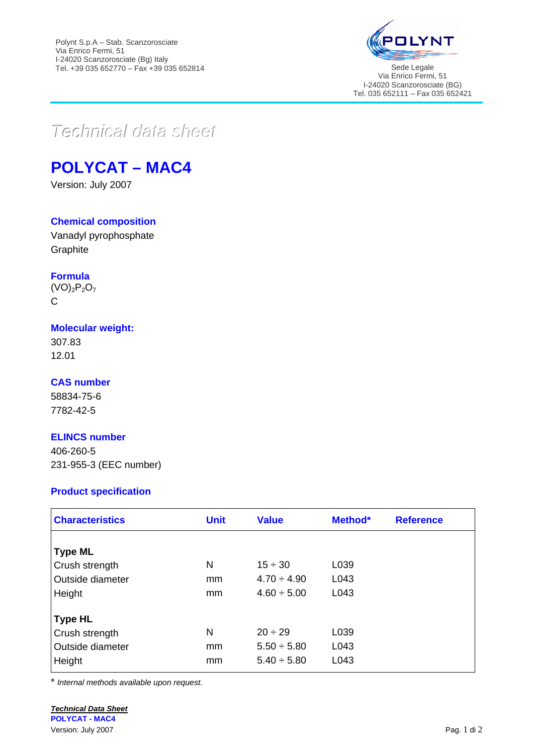

Via Enrico Fermi, 51 I-24020 Scanzorosciate (BG) Tel. 035 652111 – Fax 035 652421

# $Teclnica$ *data* sheet

## **POLYCAT – MAC4**

Version: July 2007

#### **Chemical composition**

Vanadyl pyrophosphate **Graphite** 

## **Formula**

 $(VO)_2P_2O_7$ C

#### **Molecular weight:**

307.83 12.01

## **CAS number**

58834-75-6 7782-42-5

## **ELINCS number**

406-260-5 231-955-3 (EEC number)

## **Product specification**

| <b>Characteristics</b>  | <b>Unit</b> | <b>Value</b>     | Method* | <b>Reference</b> |
|-------------------------|-------------|------------------|---------|------------------|
|                         |             |                  |         |                  |
| <b>Type ML</b>          |             |                  |         |                  |
| Crush strength          | N           | $15 \div 30$     | L039    |                  |
| <b>Outside diameter</b> | mm          | $4.70 \div 4.90$ | L043    |                  |
| Height                  | mm          | $4.60 \div 5.00$ | L043    |                  |
| <b>Type HL</b>          |             |                  |         |                  |
| Crush strength          | N           | $20 \div 29$     | L039    |                  |
| <b>Outside diameter</b> | mm          | $5.50 \div 5.80$ | L043    |                  |
| Height                  | mm          | $5.40 \div 5.80$ | L043    |                  |

\* *Internal methods available upon request.*